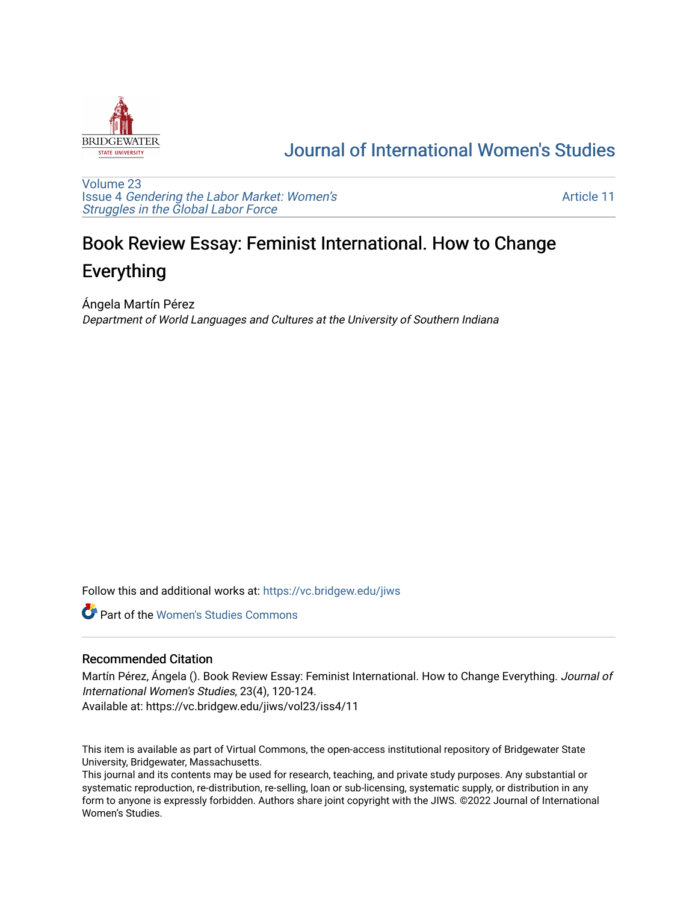

## [Journal of International Women's Studies](https://vc.bridgew.edu/jiws)

[Volume 23](https://vc.bridgew.edu/jiws/vol23) Issue 4 [Gendering the Labor Market: Women's](https://vc.bridgew.edu/jiws/vol23/iss4) [Struggles in the Global Labor Force](https://vc.bridgew.edu/jiws/vol23/iss4)

[Article 11](https://vc.bridgew.edu/jiws/vol23/iss4/11) 

## Book Review Essay: Feminist International. How to Change Everything

Ángela Martín Pérez Department of World Languages and Cultures at the University of Southern Indiana

Follow this and additional works at: [https://vc.bridgew.edu/jiws](https://vc.bridgew.edu/jiws?utm_source=vc.bridgew.edu%2Fjiws%2Fvol23%2Fiss4%2F11&utm_medium=PDF&utm_campaign=PDFCoverPages)

**C** Part of the Women's Studies Commons

## Recommended Citation

Martín Pérez, Ángela (). Book Review Essay: Feminist International. How to Change Everything. Journal of International Women's Studies, 23(4), 120-124. Available at: https://vc.bridgew.edu/jiws/vol23/iss4/11

This item is available as part of Virtual Commons, the open-access institutional repository of Bridgewater State University, Bridgewater, Massachusetts.

This journal and its contents may be used for research, teaching, and private study purposes. Any substantial or systematic reproduction, re-distribution, re-selling, loan or sub-licensing, systematic supply, or distribution in any form to anyone is expressly forbidden. Authors share joint copyright with the JIWS. ©2022 Journal of International Women's Studies.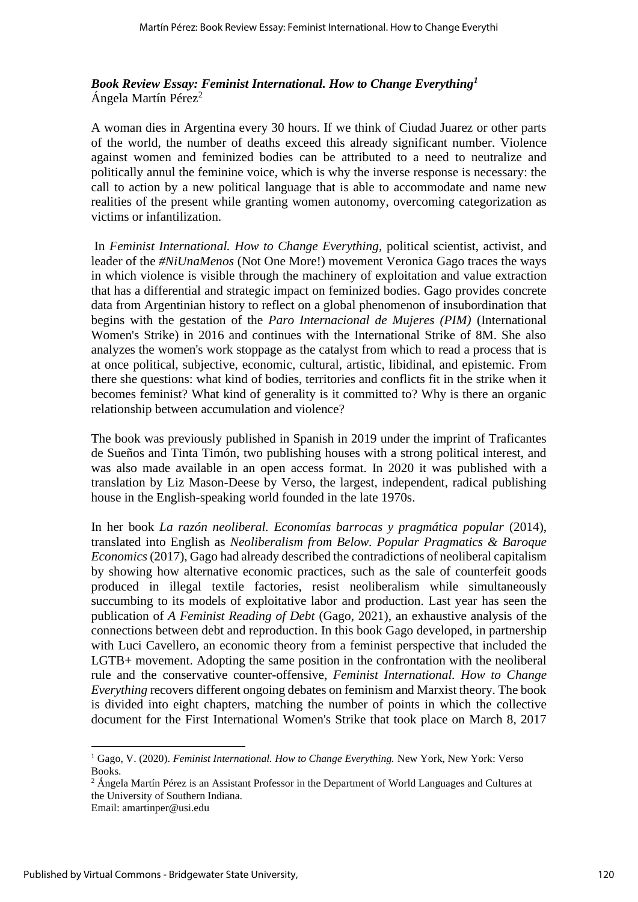*Book Review Essay: Feminist International. How to Change Everything<sup>1</sup>* Ángela Martín Pérez<sup>2</sup>

A woman dies in Argentina every 30 hours. If we think of Ciudad Juarez or other parts of the world, the number of deaths exceed this already significant number. Violence against women and feminized bodies can be attributed to a need to neutralize and politically annul the feminine voice, which is why the inverse response is necessary: the call to action by a new political language that is able to accommodate and name new realities of the present while granting women autonomy, overcoming categorization as victims or infantilization.

In *Feminist International. How to Change Everything,* political scientist, activist, and leader of the *#NiUnaMenos* (Not One More!) movement Veronica Gago traces the ways in which violence is visible through the machinery of exploitation and value extraction that has a differential and strategic impact on feminized bodies. Gago provides concrete data from Argentinian history to reflect on a global phenomenon of insubordination that begins with the gestation of the *Paro Internacional de Mujeres (PIM)* (International Women's Strike) in 2016 and continues with the International Strike of 8M. She also analyzes the women's work stoppage as the catalyst from which to read a process that is at once political, subjective, economic, cultural, artistic, libidinal, and epistemic. From there she questions: what kind of bodies, territories and conflicts fit in the strike when it becomes feminist? What kind of generality is it committed to? Why is there an organic relationship between accumulation and violence?

The book was previously published in Spanish in 2019 under the imprint of Traficantes de Sueños and Tinta Timón, two publishing houses with a strong political interest, and was also made available in an open access format. In 2020 it was published with a translation by Liz Mason-Deese by Verso, the largest, independent, radical publishing house in the English-speaking world founded in the late 1970s.

In her book *La razón neoliberal. Economías barrocas y pragmática popular* (2014), translated into English as *Neoliberalism from Below. Popular Pragmatics & Baroque Economics*(2017), Gago had already described the contradictions of neoliberal capitalism by showing how alternative economic practices, such as the sale of counterfeit goods produced in illegal textile factories, resist neoliberalism while simultaneously succumbing to its models of exploitative labor and production. Last year has seen the publication of *A Feminist Reading of Debt* (Gago, 2021), an exhaustive analysis of the connections between debt and reproduction. In this book Gago developed, in partnership with Luci Cavellero, an economic theory from a feminist perspective that included the LGTB+ movement. Adopting the same position in the confrontation with the neoliberal rule and the conservative counter-offensive, *Feminist International. How to Change Everything* recovers different ongoing debates on feminism and Marxist theory. The book is divided into eight chapters, matching the number of points in which the collective document for the First International Women's Strike that took place on March 8, 2017

<sup>1</sup> Gago, V. (2020). *Feminist International. How to Change Everything.* New York, New York: Verso Books.

<sup>&</sup>lt;sup>2</sup> Ángela Martín Pérez is an Assistant Professor in the Department of World Languages and Cultures at the University of Southern Indiana.

Email: amartinper@usi.edu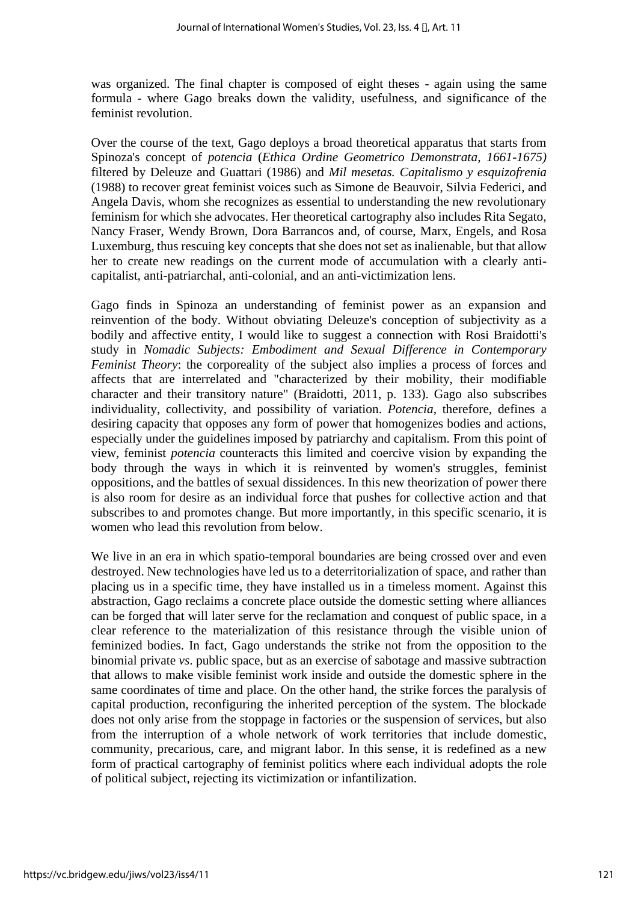was organized. The final chapter is composed of eight theses - again using the same formula - where Gago breaks down the validity, usefulness, and significance of the feminist revolution.

Over the course of the text, Gago deploys a broad theoretical apparatus that starts from Spinoza's concept of *potencia* (*Ethica Ordine Geometrico Demonstrata, 1661-1675)*  filtered by Deleuze and Guattari (1986) and *Mil mesetas. Capitalismo y esquizofrenia* (1988) to recover great feminist voices such as Simone de Beauvoir, Silvia Federici, and Angela Davis, whom she recognizes as essential to understanding the new revolutionary feminism for which she advocates. Her theoretical cartography also includes Rita Segato, Nancy Fraser, Wendy Brown, Dora Barrancos and, of course, Marx, Engels, and Rosa Luxemburg, thus rescuing key concepts that she does not set as inalienable, but that allow her to create new readings on the current mode of accumulation with a clearly anticapitalist, anti-patriarchal, anti-colonial, and an anti-victimization lens.

Gago finds in Spinoza an understanding of feminist power as an expansion and reinvention of the body. Without obviating Deleuze's conception of subjectivity as a bodily and affective entity, I would like to suggest a connection with Rosi Braidotti's study in *Nomadic Subjects: Embodiment and Sexual Difference in Contemporary Feminist Theory*: the corporeality of the subject also implies a process of forces and affects that are interrelated and "characterized by their mobility, their modifiable character and their transitory nature" (Braidotti, 2011, p. 133). Gago also subscribes individuality, collectivity, and possibility of variation. *Potencia*, therefore, defines a desiring capacity that opposes any form of power that homogenizes bodies and actions, especially under the guidelines imposed by patriarchy and capitalism. From this point of view, feminist *potencia* counteracts this limited and coercive vision by expanding the body through the ways in which it is reinvented by women's struggles, feminist oppositions, and the battles of sexual dissidences. In this new theorization of power there is also room for desire as an individual force that pushes for collective action and that subscribes to and promotes change. But more importantly, in this specific scenario, it is women who lead this revolution from below.

We live in an era in which spatio-temporal boundaries are being crossed over and even destroyed. New technologies have led us to a deterritorialization of space, and rather than placing us in a specific time, they have installed us in a timeless moment. Against this abstraction, Gago reclaims a concrete place outside the domestic setting where alliances can be forged that will later serve for the reclamation and conquest of public space, in a clear reference to the materialization of this resistance through the visible union of feminized bodies. In fact, Gago understands the strike not from the opposition to the binomial private *vs*. public space, but as an exercise of sabotage and massive subtraction that allows to make visible feminist work inside and outside the domestic sphere in the same coordinates of time and place. On the other hand, the strike forces the paralysis of capital production, reconfiguring the inherited perception of the system. The blockade does not only arise from the stoppage in factories or the suspension of services, but also from the interruption of a whole network of work territories that include domestic, community, precarious, care, and migrant labor. In this sense, it is redefined as a new form of practical cartography of feminist politics where each individual adopts the role of political subject, rejecting its victimization or infantilization.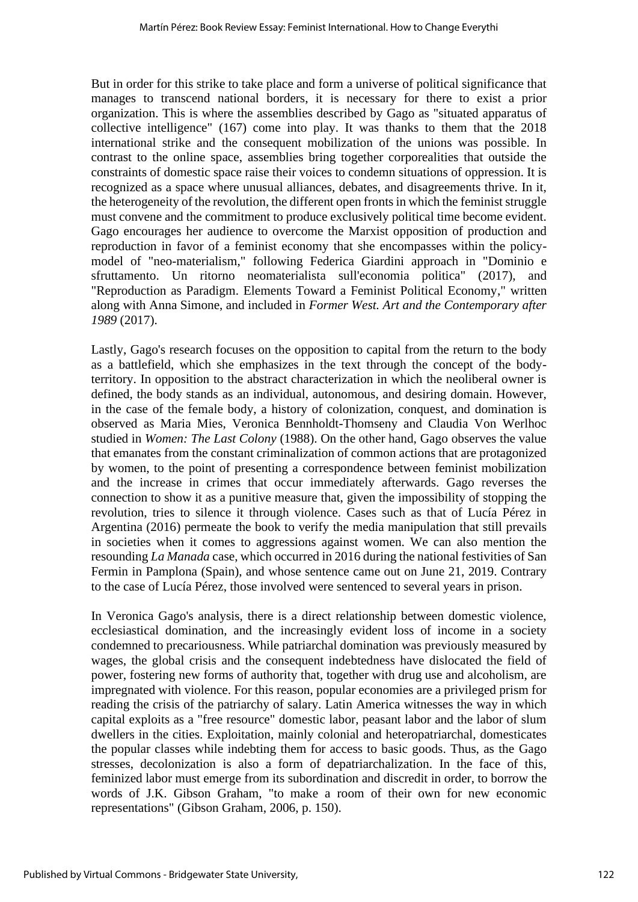But in order for this strike to take place and form a universe of political significance that manages to transcend national borders, it is necessary for there to exist a prior organization. This is where the assemblies described by Gago as "situated apparatus of collective intelligence" (167) come into play. It was thanks to them that the 2018 international strike and the consequent mobilization of the unions was possible. In contrast to the online space, assemblies bring together corporealities that outside the constraints of domestic space raise their voices to condemn situations of oppression. It is recognized as a space where unusual alliances, debates, and disagreements thrive. In it, the heterogeneity of the revolution, the different open fronts in which the feminist struggle must convene and the commitment to produce exclusively political time become evident. Gago encourages her audience to overcome the Marxist opposition of production and reproduction in favor of a feminist economy that she encompasses within the policymodel of "neo-materialism," following Federica Giardini approach in "Dominio e sfruttamento. Un ritorno neomaterialista sull'economia politica" (2017), and "Reproduction as Paradigm. Elements Toward a Feminist Political Economy," written along with Anna Simone, and included in *Former West. Art and the Contemporary after 1989* (2017).

Lastly, Gago's research focuses on the opposition to capital from the return to the body as a battlefield, which she emphasizes in the text through the concept of the bodyterritory. In opposition to the abstract characterization in which the neoliberal owner is defined, the body stands as an individual, autonomous, and desiring domain. However, in the case of the female body, a history of colonization, conquest, and domination is observed as Maria Mies, Veronica Bennholdt-Thomseny and Claudia Von Werlhoc studied in *Women: The Last Colony* (1988). On the other hand, Gago observes the value that emanates from the constant criminalization of common actions that are protagonized by women, to the point of presenting a correspondence between feminist mobilization and the increase in crimes that occur immediately afterwards. Gago reverses the connection to show it as a punitive measure that, given the impossibility of stopping the revolution, tries to silence it through violence. Cases such as that of Lucía Pérez in Argentina (2016) permeate the book to verify the media manipulation that still prevails in societies when it comes to aggressions against women. We can also mention the resounding *La Manada* case, which occurred in 2016 during the national festivities of San Fermin in Pamplona (Spain), and whose sentence came out on June 21, 2019. Contrary to the case of Lucía Pérez, those involved were sentenced to several years in prison.

In Veronica Gago's analysis, there is a direct relationship between domestic violence, ecclesiastical domination, and the increasingly evident loss of income in a society condemned to precariousness. While patriarchal domination was previously measured by wages, the global crisis and the consequent indebtedness have dislocated the field of power, fostering new forms of authority that, together with drug use and alcoholism, are impregnated with violence. For this reason, popular economies are a privileged prism for reading the crisis of the patriarchy of salary. Latin America witnesses the way in which capital exploits as a "free resource" domestic labor, peasant labor and the labor of slum dwellers in the cities. Exploitation, mainly colonial and heteropatriarchal, domesticates the popular classes while indebting them for access to basic goods. Thus, as the Gago stresses, decolonization is also a form of depatriarchalization. In the face of this, feminized labor must emerge from its subordination and discredit in order, to borrow the words of J.K. Gibson Graham, "to make a room of their own for new economic representations" (Gibson Graham, 2006, p. 150).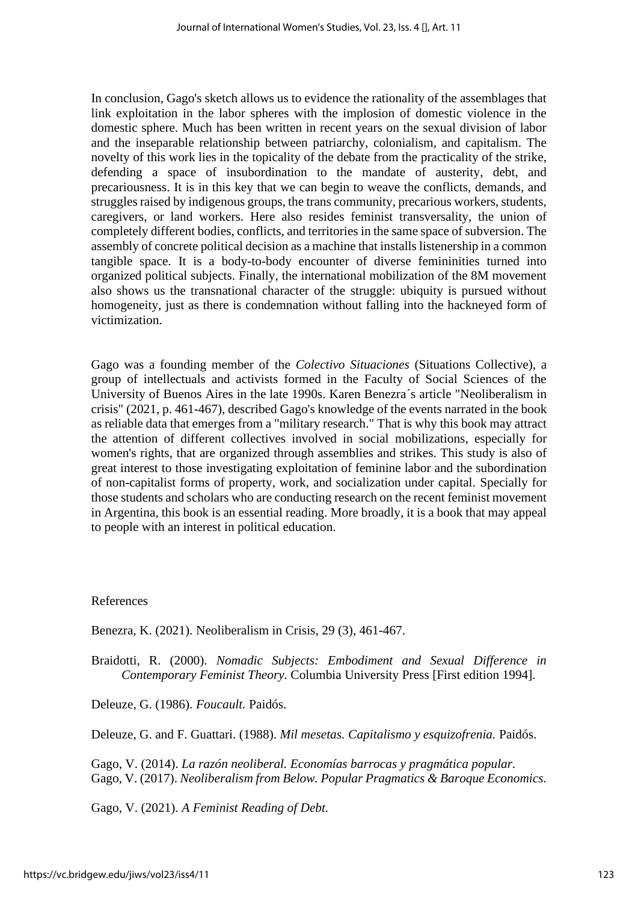In conclusion, Gago's sketch allows us to evidence the rationality of the assemblages that link exploitation in the labor spheres with the implosion of domestic violence in the domestic sphere. Much has been written in recent years on the sexual division of labor and the inseparable relationship between patriarchy, colonialism, and capitalism. The novelty of this work lies in the topicality of the debate from the practicality of the strike, defending a space of insubordination to the mandate of austerity, debt, and precariousness. It is in this key that we can begin to weave the conflicts, demands, and struggles raised by indigenous groups, the trans community, precarious workers, students, caregivers, or land workers. Here also resides feminist transversality, the union of completely different bodies, conflicts, and territories in the same space of subversion. The assembly of concrete political decision as a machine that installs listenership in a common tangible space. It is a body-to-body encounter of diverse femininities turned into organized political subjects. Finally, the international mobilization of the 8M movement also shows us the transnational character of the struggle: ubiquity is pursued without homogeneity, just as there is condemnation without falling into the hackneyed form of victimization.

Gago was a founding member of the *Colectivo Situaciones* (Situations Collective), a group of intellectuals and activists formed in the Faculty of Social Sciences of the University of Buenos Aires in the late 1990s. Karen Benezra´s article "Neoliberalism in crisis" (2021, p. 461-467), described Gago's knowledge of the events narrated in the book as reliable data that emerges from a "military research." That is why this book may attract the attention of different collectives involved in social mobilizations, especially for women's rights, that are organized through assemblies and strikes. This study is also of great interest to those investigating exploitation of feminine labor and the subordination of non-capitalist forms of property, work, and socialization under capital. Specially for those students and scholars who are conducting research on the recent feminist movement in Argentina, this book is an essential reading. More broadly, it is a book that may appeal to people with an interest in political education.

## References

Benezra, K. (2021). Neoliberalism in Crisis, 29 (3), 461-467.

Braidotti, R. (2000). *Nomadic Subjects: Embodiment and Sexual Difference in Contemporary Feminist Theory.* Columbia University Press [First edition 1994].

Deleuze, G. (1986). *Foucault.* Paidós.

Deleuze, G. and F. Guattari. (1988). *Mil mesetas. Capitalismo y esquizofrenia.* Paidós.

Gago, V. (2014). *La razón neoliberal. Economías barrocas y pragmática popular.*  Gago, V. (2017). *Neoliberalism from Below. Popular Pragmatics & Baroque Economics.* 

Gago, V. (2021). *A Feminist Reading of Debt.*